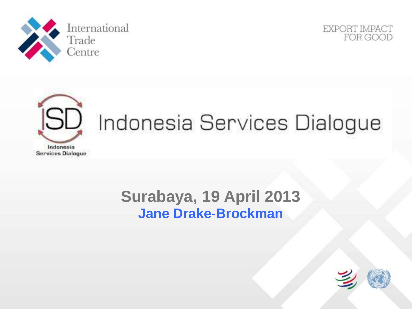





# [SD] Indonesia Services Dialogue

### **Surabaya, 19 April 2013 Jane Drake-Brockman**

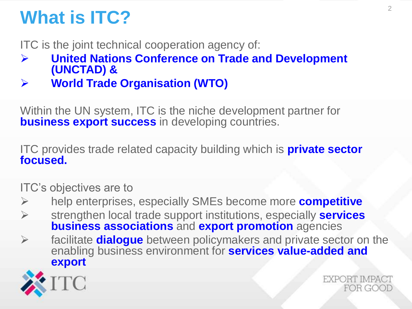# **What is ITC?**

ITC is the joint technical cooperation agency of:

- **United Nations Conference on Trade and Development (UNCTAD) &**
- **World Trade Organisation (WTO)**

Within the UN system, ITC is the niche development partner for **business export success** in developing countries.

ITC provides trade related capacity building which is **private sector focused.** 

ITC's objectives are to

- help enterprises, especially SMEs become more **competitive**
- strengthen local trade support institutions, especially **services business associations** and **export promotion** agencies
- facilitate **dialogue** between policymakers and private sector on the enabling business environment for **services value-added and export**



EXPORT IMPACT FOR GOOD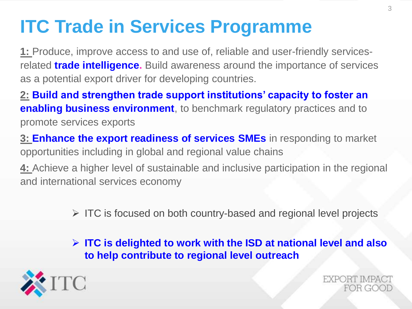# **ITC Trade in Services Programme**

**1:** Produce, improve access to and use of, reliable and user-friendly servicesrelated **trade intelligence.** Build awareness around the importance of services as a potential export driver for developing countries.

**2: Build and strengthen trade support institutions' capacity to foster an enabling business environment**, to benchmark regulatory practices and to promote services exports

**3: Enhance the export readiness of services SMEs** in responding to market opportunities including in global and regional value chains

**4:** Achieve a higher level of sustainable and inclusive participation in the regional and international services economy

 $\triangleright$  ITC is focused on both country-based and regional level projects

 **ITC is delighted to work with the ISD at national level and also to help contribute to regional level outreach**



**EXPORT IMPACT** FOR GOOI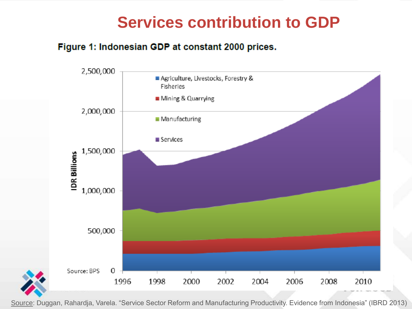### **Services contribution to GDP**

#### Figure 1: Indonesian GDP at constant 2000 prices.



Source: Duggan, Rahardja, Varela. "Service Sector Reform and Manufacturing Productivity. Evidence from Indonesia" (IBRD 2013)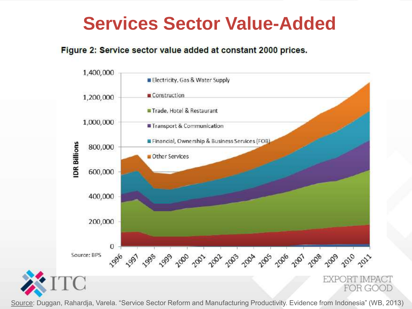### **Services Sector Value-Added**

#### Figure 2: Service sector value added at constant 2000 prices.



Source: Duggan, Rahardja, Varela. "Service Sector Reform and Manufacturing Productivity. Evidence from Indonesia" (WB, 2013)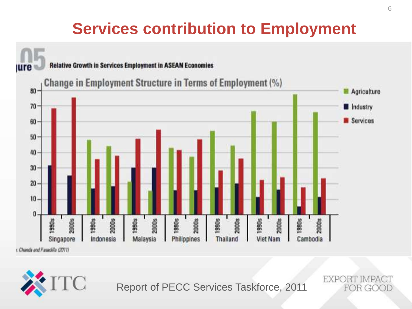### **Services contribution to Employment**



<sup>C</sup>

Report of PECC Services Taskforce, 2011

EXPORT IMPA FOR GOOD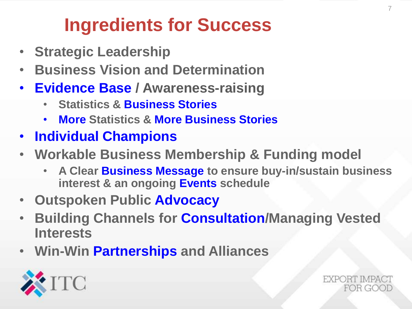# **Ingredients for Success**

- **Strategic Leadership**
- **Business Vision and Determination**
- **Evidence Base / Awareness-raising**
	- **Statistics & Business Stories**
	- **More Statistics & More Business Stories**
- **Individual Champions**
- **Workable Business Membership & Funding model**
	- **A Clear Business Message to ensure buy-in/sustain business interest & an ongoing Events schedule**
- **Outspoken Public Advocacy**
- **Building Channels for Consultation/Managing Vested Interests**
- **Win-Win Partnerships and Alliances**



EXPORT IMPA FOR GOOT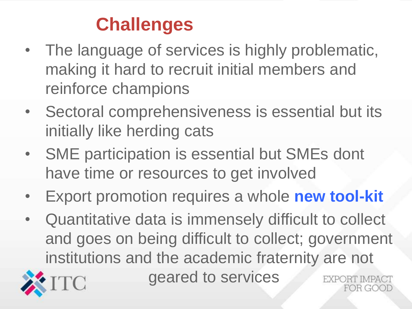# **Challenges**

- The language of services is highly problematic, making it hard to recruit initial members and reinforce champions
- Sectoral comprehensiveness is essential but its initially like herding cats
- SME participation is essential but SMEs dont have time or resources to get involved
- Export promotion requires a whole **new tool-kit**
- Quantitative data is immensely difficult to collect and goes on being difficult to collect; government institutions and the academic fraternity are not



geared to services

DR GOOL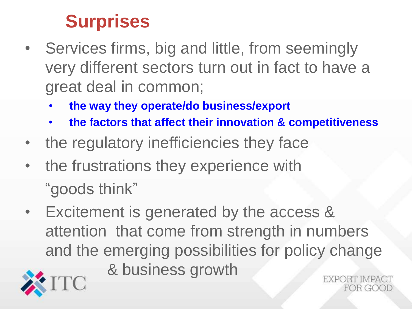### **Surprises**

- Services firms, big and little, from seemingly very different sectors turn out in fact to have a great deal in common;
	- **the way they operate/do business/export**
	- **the factors that affect their innovation & competitiveness**
- the regulatory inefficiencies they face
- the frustrations they experience with "goods think"
- Excitement is generated by the access & attention that come from strength in numbers and the emerging possibilities for policy change & business growth

 $R(GO)$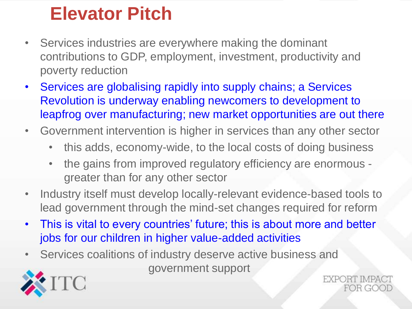### **Elevator Pitch**

- Services industries are everywhere making the dominant contributions to GDP, employment, investment, productivity and poverty reduction
- Services are globalising rapidly into supply chains; a Services Revolution is underway enabling newcomers to development to leapfrog over manufacturing; new market opportunities are out there
- Government intervention is higher in services than any other sector
	- this adds, economy-wide, to the local costs of doing business
	- the gains from improved regulatory efficiency are enormous greater than for any other sector
- Industry itself must develop locally-relevant evidence-based tools to lead government through the mind-set changes required for reform
- This is vital to every countries' future; this is about more and better jobs for our children in higher value-added activities
- Services coalitions of industry deserve active business and government support



**EXPORT IMPA** FOR GOOI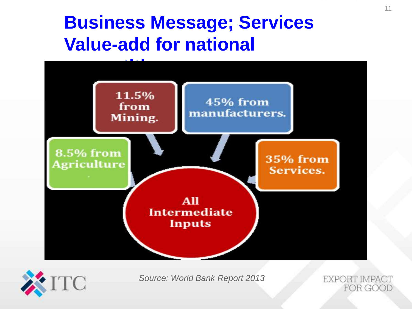### **Business Message; Services Value-add for national**





*Source: World Bank Report 2013* 

**EXPORT IMPACT** FOR GOOD